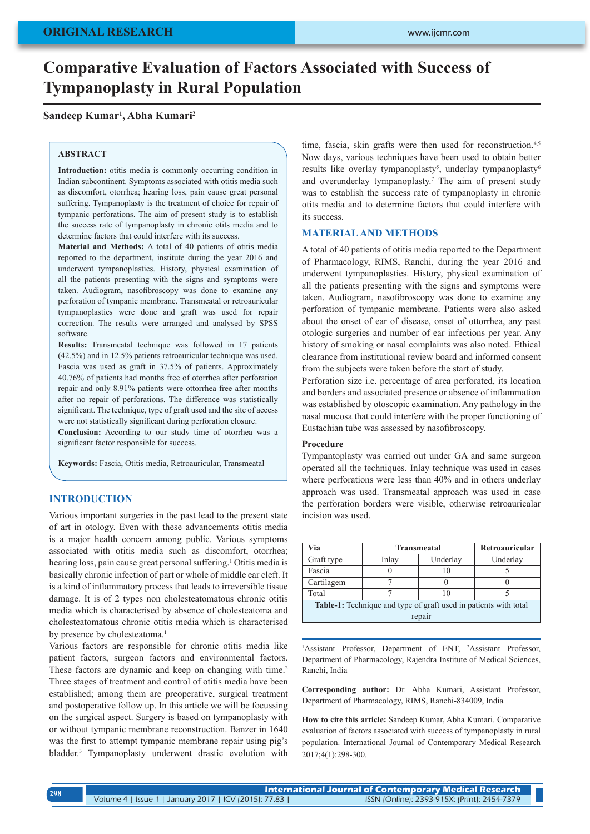# **Comparative Evaluation of Factors Associated with Success of Tympanoplasty in Rural Population**

## **Sandeep Kumar1 , Abha Kumari2**

#### **ABSTRACT**

**Introduction:** otitis media is commonly occurring condition in Indian subcontinent. Symptoms associated with otitis media such as discomfort, otorrhea; hearing loss, pain cause great personal suffering. Tympanoplasty is the treatment of choice for repair of tympanic perforations. The aim of present study is to establish the success rate of tympanoplasty in chronic otits media and to determine factors that could interfere with its success.

**Material and Methods:** A total of 40 patients of otitis media reported to the department, institute during the year 2016 and underwent tympanoplasties. History, physical examination of all the patients presenting with the signs and symptoms were taken. Audiogram, nasofibroscopy was done to examine any perforation of tympanic membrane. Transmeatal or retroauricular tympanoplasties were done and graft was used for repair correction. The results were arranged and analysed by SPSS software.

**Results:** Transmeatal technique was followed in 17 patients (42.5%) and in 12.5% patients retroauricular technique was used. Fascia was used as graft in 37.5% of patients. Approximately 40.76% of patients had months free of otorrhea after perforation repair and only 8.91% patients were ottorrhea free after months after no repair of perforations. The difference was statistically significant. The technique, type of graft used and the site of access were not statistically significant during perforation closure.

**Conclusion:** According to our study time of otorrhea was a significant factor responsible for success.

**Keywords:** Fascia, Otitis media, Retroauricular, Transmeatal

## **INTRODUCTION**

Various important surgeries in the past lead to the present state of art in otology. Even with these advancements otitis media is a major health concern among public. Various symptoms associated with otitis media such as discomfort, otorrhea; hearing loss, pain cause great personal suffering.<sup>1</sup> Otitis media is basically chronic infection of part or whole of middle ear cleft. It is a kind of inflammatory process that leads to irreversible tissue damage. It is of 2 types non cholesteatomatous chronic otitis media which is characterised by absence of cholesteatoma and cholesteatomatous chronic otitis media which is characterised by presence by cholesteatoma.<sup>1</sup>

Various factors are responsible for chronic otitis media like patient factors, surgeon factors and environmental factors. These factors are dynamic and keep on changing with time.<sup>2</sup> Three stages of treatment and control of otitis media have been established; among them are preoperative, surgical treatment and postoperative follow up. In this article we will be focussing on the surgical aspect. Surgery is based on tympanoplasty with or without tympanic membrane reconstruction. Banzer in 1640 was the first to attempt tympanic membrane repair using pig's bladder.3 Tympanoplasty underwent drastic evolution with time, fascia, skin grafts were then used for reconstruction.<sup>4,5</sup> Now days, various techniques have been used to obtain better results like overlay tympanoplasty<sup>5</sup>, underlay tympanoplasty<sup>6</sup> and overunderlay tympanoplasty.7 The aim of present study was to establish the success rate of tympanoplasty in chronic otits media and to determine factors that could interfere with its success.

## **MATERIAL AND METHODS**

A total of 40 patients of otitis media reported to the Department of Pharmacology, RIMS, Ranchi, during the year 2016 and underwent tympanoplasties. History, physical examination of all the patients presenting with the signs and symptoms were taken. Audiogram, nasofibroscopy was done to examine any perforation of tympanic membrane. Patients were also asked about the onset of ear of disease, onset of ottorrhea, any past otologic surgeries and number of ear infections per year. Any history of smoking or nasal complaints was also noted. Ethical clearance from institutional review board and informed consent from the subjects were taken before the start of study.

Perforation size i.e. percentage of area perforated, its location and borders and associated presence or absence of inflammation was established by otoscopic examination. Any pathology in the nasal mucosa that could interfere with the proper functioning of Eustachian tube was assessed by nasofibroscopy.

#### **Procedure**

Tympantoplasty was carried out under GA and same surgeon operated all the techniques. Inlay technique was used in cases where perforations were less than 40% and in others underlay approach was used. Transmeatal approach was used in case the perforation borders were visible, otherwise retroauricalar incision was used.

| Via                                                                     | <b>Transmeatal</b> | Retroauricular |          |  |  |  |  |  |
|-------------------------------------------------------------------------|--------------------|----------------|----------|--|--|--|--|--|
| Graft type                                                              | Inlay              | Underlay       | Underlay |  |  |  |  |  |
| Fascia                                                                  |                    | 10             |          |  |  |  |  |  |
| Cartilagem                                                              |                    |                |          |  |  |  |  |  |
| Total                                                                   |                    | 10             |          |  |  |  |  |  |
| <b>Table-1:</b> Technique and type of graft used in patients with total |                    |                |          |  |  |  |  |  |
| repair                                                                  |                    |                |          |  |  |  |  |  |

<sup>1</sup>Assistant Professor, Department of ENT, <sup>2</sup>Assistant Professor, Department of Pharmacology, Rajendra Institute of Medical Sciences, Ranchi, India

**Corresponding author:** Dr. Abha Kumari, Assistant Professor, Department of Pharmacology, RIMS, Ranchi-834009, India

**How to cite this article:** Sandeep Kumar, Abha Kumari. Comparative evaluation of factors associated with success of tympanoplasty in rural population. International Journal of Contemporary Medical Research 2017;4(1):298-300.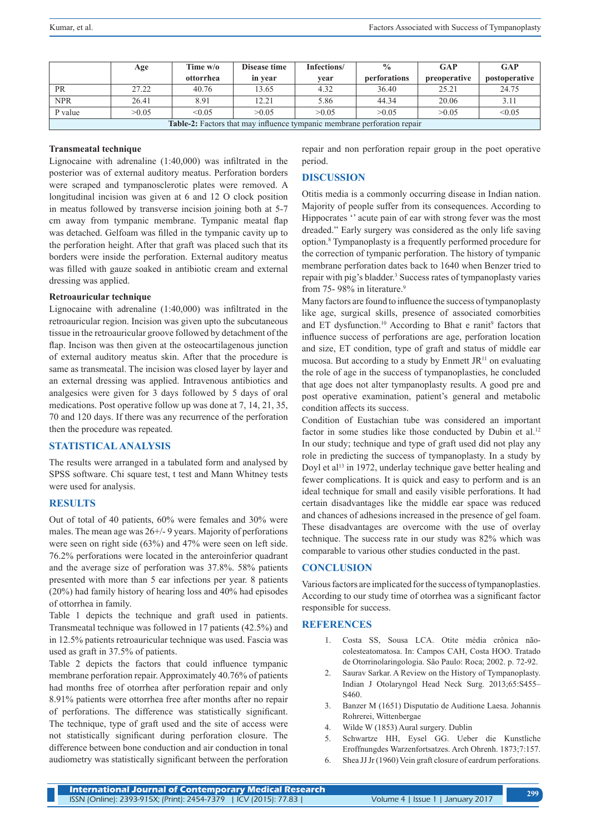|                                                                                 | Age   | Time w/o  | Disease time | Infections/ | $\frac{0}{0}$ | GAP          | <b>GAP</b>    |  |  |
|---------------------------------------------------------------------------------|-------|-----------|--------------|-------------|---------------|--------------|---------------|--|--|
|                                                                                 |       | ottorrhea | in year      | vear        | perforations  | preoperative | postoperative |  |  |
| <b>PR</b>                                                                       | 27.22 | 40.76     | 13.65        | 4.32        | 36.40         | 25.21        | 24.75         |  |  |
| <b>NPR</b>                                                                      | 26.41 | 8.91      | 12.21        | 5.86        | 44.34         | 20.06        | 3.11          |  |  |
| P value                                                                         | >0.05 | < 0.05    | >0.05        | >0.05       | >0.05         | >0.05        | < 0.05        |  |  |
| <b>Table-2:</b> Factors that may influence tympanic membrane perforation repair |       |           |              |             |               |              |               |  |  |

#### **Transmeatal technique**

Lignocaine with adrenaline (1:40,000) was infiltrated in the posterior was of external auditory meatus. Perforation borders were scraped and tympanosclerotic plates were removed. A longitudinal incision was given at 6 and 12 O clock position in meatus followed by transverse incision joining both at 5-7 cm away from tympanic membrane. Tympanic meatal flap was detached. Gelfoam was filled in the tympanic cavity up to the perforation height. After that graft was placed such that its borders were inside the perforation. External auditory meatus was filled with gauze soaked in antibiotic cream and external dressing was applied.

## **Retroauricular technique**

Lignocaine with adrenaline (1:40,000) was infiltrated in the retroauricular region. Incision was given upto the subcutaneous tissue in the retroauricular groove followed by detachment of the flap. Incison was then given at the osteocartilagenous junction of external auditory meatus skin. After that the procedure is same as transmeatal. The incision was closed layer by layer and an external dressing was applied. Intravenous antibiotics and analgesics were given for 3 days followed by 5 days of oral medications. Post operative follow up was done at 7, 14, 21, 35, 70 and 120 days. If there was any recurrence of the perforation then the procedure was repeated.

## **STATISTICAL ANALYSIS**

The results were arranged in a tabulated form and analysed by SPSS software. Chi square test, t test and Mann Whitney tests were used for analysis.

## **RESULTS**

Out of total of 40 patients, 60% were females and 30% were males. The mean age was 26+/- 9 years. Majority of perforations were seen on right side (63%) and 47% were seen on left side. 76.2% perforations were located in the anteroinferior quadrant and the average size of perforation was 37.8%. 58% patients presented with more than 5 ear infections per year. 8 patients (20%) had family history of hearing loss and 40% had episodes of ottorrhea in family.

Table 1 depicts the technique and graft used in patients. Transmeatal technique was followed in 17 patients (42.5%) and in 12.5% patients retroauricular technique was used. Fascia was used as graft in 37.5% of patients.

Table 2 depicts the factors that could influence tympanic membrane perforation repair. Approximately 40.76% of patients had months free of otorrhea after perforation repair and only 8.91% patients were ottorrhea free after months after no repair of perforations. The difference was statistically significant. The technique, type of graft used and the site of access were not statistically significant during perforation closure. The difference between bone conduction and air conduction in tonal audiometry was statistically significant between the perforation repair and non perforation repair group in the poet operative period.

# **DISCUSSION**

Otitis media is a commonly occurring disease in Indian nation. Majority of people suffer from its consequences. According to Hippocrates '' acute pain of ear with strong fever was the most dreaded." Early surgery was considered as the only life saving option.8 Tympanoplasty is a frequently performed procedure for the correction of tympanic perforation. The history of tympanic membrane perforation dates back to 1640 when Benzer tried to repair with pig's bladder.<sup>3</sup> Success rates of tympanoplasty varies from 75- 98% in literature.<sup>9</sup>

Many factors are found to influence the success of tympanoplasty like age, surgical skills, presence of associated comorbities and ET dysfunction.<sup>10</sup> According to Bhat e ranit<sup>9</sup> factors that influence success of perforations are age, perforation location and size, ET condition, type of graft and status of middle ear mucosa. But according to a study by Enmett  $J\mathbb{R}^{11}$  on evaluating the role of age in the success of tympanoplasties, he concluded that age does not alter tympanoplasty results. A good pre and post operative examination, patient's general and metabolic condition affects its success.

Condition of Eustachian tube was considered an important factor in some studies like those conducted by Dubin et al.<sup>12</sup> In our study; technique and type of graft used did not play any role in predicting the success of tympanoplasty. In a study by Doyl et al<sup>13</sup> in 1972, underlay technique gave better healing and fewer complications. It is quick and easy to perform and is an ideal technique for small and easily visible perforations. It had certain disadvantages like the middle ear space was reduced and chances of adhesions increased in the presence of gel foam. These disadvantages are overcome with the use of overlay technique. The success rate in our study was 82% which was comparable to various other studies conducted in the past.

## **CONCLUSION**

Various factors are implicated for the success of tympanoplasties. According to our study time of otorrhea was a significant factor responsible for success.

## **REFERENCES**

- 1. Costa SS, Sousa LCA. Otite média crônica nãocolesteatomatosa. In: Campos CAH, Costa HOO. Tratado de Otorrinolaringologia. São Paulo: Roca; 2002. p. 72-92.
- 2. Saurav Sarkar. A Review on the History of Tympanoplasty. Indian J Otolaryngol Head Neck Surg. 2013;65:S455– S460.
- 3. Banzer M (1651) Disputatio de Auditione Laesa. Johannis Rohrerei, Wittenbergae
- 4. Wilde W (1853) Aural surgery. Dublin
- 5. Schwartze HH, Eysel GG. Ueber die Kunstliche Eroffnungdes Warzenfortsatzes. Arch Ohrenh. 1873;7:157.
- 6. Shea JJ Jr (1960) Vein graft closure of eardrum perforations.